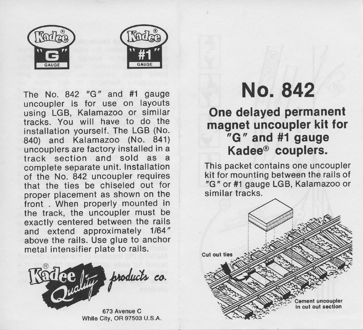

The No. 842 "G" and #1 gauge uncoupler is for use on layouts using LGB, Kalamazoo or similar tracks. You will have to do the installation yourself. The LGB (No. 840) and Kalamazoo (No. 841) uncouplers are factory installed in a track section and sold as a complete separate unit. Installation of the No. 842 uncoupler requires that the ties be chiseled out for proper placement as shown on the front . When properly mounted in the track, the uncoupler must be exactly centered between the rails and extend approximately 1/64" above the rails. Use glue to anchor metal intensifier plate to rails.



673 Avenue C White City, OR 97503 U.S.A.

## **No. 842**

## **One delayed permanent magnet uncoupler kit for "G" and #1 gauge Kadee® couplers.**

This packet contains one uncoupler kit for mounting between the rails of "G" or #1 gauge LGB, Kalamazoo or similar tracks.